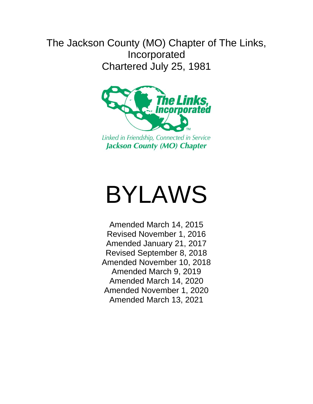# The Jackson County (MO) Chapter of The Links, Incorporated Chartered July 25, 1981



# BYLAWS

Amended March 14, 2015 Revised November 1, 2016 Amended January 21, 2017 Revised September 8, 2018 Amended November 10, 2018 Amended March 9, 2019 Amended March 14, 2020 Amended November 1, 2020 Amended March 13, 2021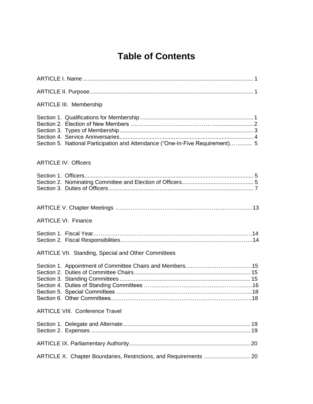# **Table of Contents**

| <b>ARTICLE III. Membership</b>                                                |
|-------------------------------------------------------------------------------|
| Section 5. National Participation and Attendance ("One-In-Five Requirement) 5 |
| <b>ARTICLE IV. Officers</b>                                                   |
|                                                                               |
|                                                                               |
| <b>ARTICLE VI. Finance</b>                                                    |
|                                                                               |
| <b>ARTICLE VII. Standing, Special and Other Committees</b>                    |
|                                                                               |
| <b>ARTICLE VIII. Conference Travel</b>                                        |
|                                                                               |
|                                                                               |
|                                                                               |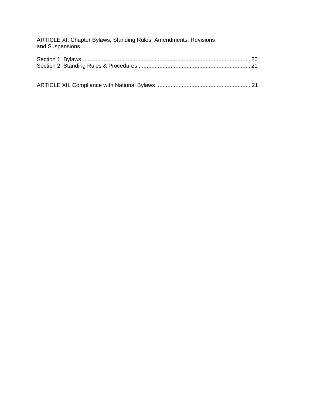| ARTICLE XI. Chapter Bylaws, Standing Rules, Amendments, Revisions<br>and Suspensions |  |
|--------------------------------------------------------------------------------------|--|
|                                                                                      |  |
|                                                                                      |  |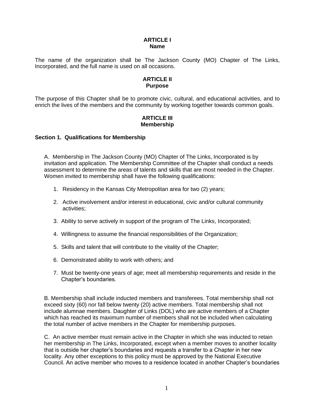#### **ARTICLE I Name**

The name of the organization shall be The Jackson County (MO) Chapter of The Links, Incorporated, and the full name is used on all occasions.

#### **ARTICLE II Purpose**

The purpose of this Chapter shall be to promote civic, cultural, and educational activities, and to enrich the lives of the members and the community by working together towards common goals.

# **ARTICLE III Membership**

# **Section 1. Qualifications for Membership**

A. Membership in The Jackson County (MO) Chapter of The Links, Incorporated is by invitation and application. The Membership Committee of the Chapter shall conduct a needs assessment to determine the areas of talents and skills that are most needed in the Chapter. Women invited to membership shall have the following qualifications:

- 1. Residency in the Kansas City Metropolitan area for two (2) years;
- 2. Active involvement and/or interest in educational, civic and/or cultural community activities;
- 3. Ability to serve actively in support of the program of The Links, Incorporated;
- 4. Willingness to assume the financial responsibilities of the Organization;
- 5. Skills and talent that will contribute to the vitality of the Chapter;
- 6. Demonstrated ability to work with others; and
- 7. Must be twenty-one years of age; meet all membership requirements and reside in the Chapter's boundaries.

B. Membership shall include inducted members and transferees. Total membership shall not exceed sixty (60) nor fall below twenty (20) active members. Total membership shall not include alumnae members. Daughter of Links (DOL) who are active members of a Chapter which has reached its maximum number of members shall not be included when calculating the total number of active members in the Chapter for membership purposes.

C. An active member must remain active in the Chapter in which she was inducted to retain her membership in The Links, Incorporated, except when a member moves to another locality that is outside her chapter's boundaries and requests a transfer to a Chapter in her new locality. Any other exceptions to this policy must be approved by the National Executive Council. An active member who moves to a residence located in another Chapter's boundaries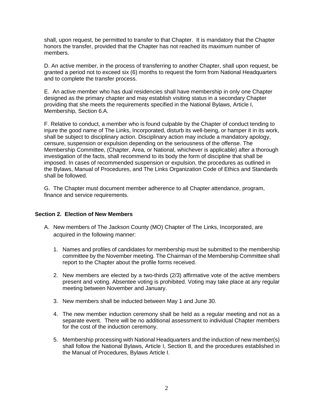shall, upon request, be permitted to transfer to that Chapter. It is mandatory that the Chapter honors the transfer, provided that the Chapter has not reached its maximum number of members.

D. An active member, in the process of transferring to another Chapter, shall upon request, be granted a period not to exceed six (6) months to request the form from National Headquarters and to complete the transfer process.

E. An active member who has dual residencies shall have membership in only one Chapter designed as the primary chapter and may establish visiting status in a secondary Chapter providing that she meets the requirements specified in the National Bylaws, Article I, Membership, Section 6.A.

F. Relative to conduct, a member who is found culpable by the Chapter of conduct tending to injure the good name of The Links, Incorporated, disturb its well-being, or hamper it in its work, shall be subject to disciplinary action. Disciplinary action may include a mandatory apology, censure, suspension or expulsion depending on the seriousness of the offense. The Membership Committee, (Chapter, Area, or National, whichever is applicable) after a thorough investigation of the facts, shall recommend to its body the form of discipline that shall be imposed. In cases of recommended suspension or expulsion, the procedures as outlined in the Bylaws, Manual of Procedures, and The Links Organization Code of Ethics and Standards shall be followed.

G. The Chapter must document member adherence to all Chapter attendance, program, finance and service requirements.

# **Section 2. Election of New Members**

- A. New members of The Jackson County (MO) Chapter of The Links, Incorporated, are acquired in the following manner:
	- 1. Names and profiles of candidates for membership must be submitted to the membership committee by the November meeting. The Chairman of the Membership Committee shall report to the Chapter about the profile forms received.
	- 2. New members are elected by a two-thirds (2/3) affirmative vote of the active members present and voting. Absentee voting is prohibited. Voting may take place at any regular meeting between November and January.
	- 3. New members shall be inducted between May 1 and June 30.
	- 4. The new member induction ceremony shall be held as a regular meeting and not as a separate event. There will be no additional assessment to individual Chapter members for the cost of the induction ceremony.
	- 5. Membership processing with National Headquarters and the induction of new member(s) shall follow the National Bylaws, Article I, Section 8, and the procedures established in the Manual of Procedures, Bylaws Article I.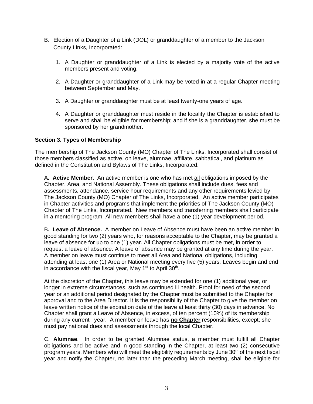- B. Election of a Daughter of a Link (DOL) or granddaughter of a member to the Jackson County Links, Incorporated:
	- 1. A Daughter or granddaughter of a Link is elected by a majority vote of the active members present and voting.
	- 2. A Daughter or granddaughter of a Link may be voted in at a regular Chapter meeting between September and May.
	- 3. A Daughter or granddaughter must be at least twenty-one years of age.
	- 4. A Daughter or granddaughter must reside in the locality the Chapter is established to serve and shall be eligible for membership; and if she is a granddaughter, she must be sponsored by her grandmother.

# **Section 3. Types of Membership**

The membership of The Jackson County (MO) Chapter of The Links, Incorporated shall consist of those members classified as active, on leave, alumnae, affiliate, sabbatical, and platinum as defined in the Constitution and Bylaws of The Links, Incorporated.

A**. Active Member**. An active member is one who has met all obligations imposed by the Chapter, Area, and National Assembly. These obligations shall include dues, fees and assessments, attendance, service hour requirements and any other requirements levied by The Jackson County (MO) Chapter of The Links, Incorporated. An active member participates in Chapter activities and programs that implement the priorities of The Jackson County (MO) Chapter of The Links, Incorporated. New members and transferring members shall participate in a mentoring program. All new members shall have a one (1) year development period.

B**. Leave of Absence.** A member on Leave of Absence must have been an active member in good standing for two (2) years who, for reasons acceptable to the Chapter, may be granted a leave of absence for up to one (1) year. All Chapter obligations must be met, in order to request a leave of absence. A leave of absence may be granted at any time during the year. A member on leave must continue to meet all Area and National obligations, including attending at least one (1) Area or National meeting every five (5) years. Leaves begin and end in accordance with the fiscal year, May  $1<sup>st</sup>$  to April 30<sup>th</sup>.

At the discretion of the Chapter, this leave may be extended for one (1) additional year, or longer in extreme circumstances, such as continued ill health. Proof for need of the second year or an additional period designated by the Chapter must be submitted to the Chapter for approval and to the Area Director. It is the responsibility of the Chapter to give the member on leave written notice of the expiration date of the leave at least thirty (30) days in advance. No Chapter shall grant a Leave of Absence, in excess, of ten percent (10%) of its membership during any current year. A member on leave has **no Chapter** responsibilities, except; she must pay national dues and assessments through the local Chapter.

C. **Alumnae**. In order to be granted Alumnae status, a member must fulfill all Chapter obligations and be active and in good standing in the Chapter, at least two (2) consecutive program years. Members who will meet the eligibility requirements by June 30<sup>th</sup> of the next fiscal year and notify the Chapter, no later than the preceding March meeting, shall be eligible for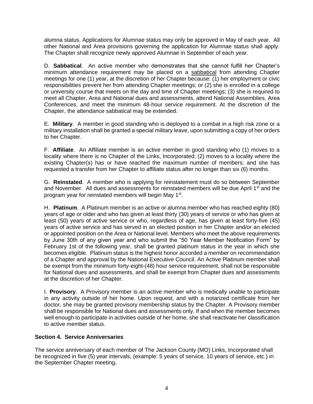alumna status. Applications for Alumnae status may only be approved in May of each year. All other National and Area provisions governing the application for Alumnae status shall apply. The Chapter shall recognize newly approved Alumnae in September of each year.

D. **Sabbatical**. An active member who demonstrates that she cannot fulfill her Chapter's minimum attendance requirement may be placed on a sabbatical from attending Chapter meetings for one (1) year, at the discretion of her Chapter because: (1) her employment or civic responsibilities prevent her from attending Chapter meetings; or (2) she is enrolled in a college or university course that meets on the day and time of Chapter meetings; (3) she is required to meet all Chapter, Area and National dues and assessments, attend National Assemblies. Area Conferences, and meet the minimum 48-hour service requirement. At the discretion of the Chapter, the attendance sabbatical may be extended.

E. **Military**. A member in good standing who is deployed to a combat in a high risk zone or a military installation shall be granted a special military leave, upon submitting a copy of her orders to her Chapter.

F. **Affiliate**. An Affiliate member is an active member in good standing who (1) moves to a locality where there is no Chapter of the Links, Incorporated; (2) moves to a locality where the existing Chapter(s) has or have reached the maximum number of members: and she has requested a transfer from her Chapter to affiliate status after no longer than six (6) months.

G. **Reinstated**. A member who is applying for reinstatement must do so between September and November. All dues and assessments for reinstated members will be due April  $1<sup>st</sup>$  and the program year for reinstated members will begin May 1<sup>st</sup>.

H. **Platinum**. A Platinum member is an active or alumna member who has reached eighty (80) years of age or older and who has given at least thirty (30) years of service or who has given at least (50) years of active service or who, regardless of age, has given at least forty-five (45) years of active service and has served in an elected position in her Chapter and/or an elected or appointed position on the Area or National level. Members who meet the above requirements by June 30th of any given year and who submit the "50 Year Member Notification Form" by February 1st of the following year, shall be granted platinum status in the year in which she becomes eligible. Platinum status is the highest honor accorded a member on recommendation of a Chapter and approval by the National Executive Council. An Active Platinum member shall be exempt from the minimum forty-eight-(48) hour service requirement, shall not be responsible for National dues and assessments, and shall be exempt from Chapter dues and assessments at the discretion of her Chapter.

I. **Provisory**. A Provisory member is an active member who is medically unable to participate in any activity outside of her home. Upon request, and with a notarized certificate from her doctor, she may be granted provisory membership status by the Chapter. A Provisory member shall be responsible for National dues and assessments only. If and when the member becomes well enough to participate in activities outside of her home, she shall reactivate her classification to active member status.

# **Section 4. Service Anniversaries**

The service anniversary of each member of The Jackson County (MO) Links, Incorporated shall be recognized in five (5) year intervals, (example: 5 years of service, 10 years of service, etc.) in the September Chapter meeting**.**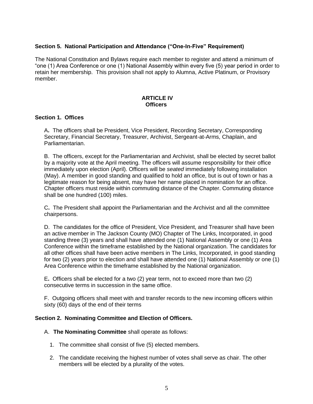# **Section 5. National Participation and Attendance ("One-In-Five" Requirement)**

The National Constitution and Bylaws require each member to register and attend a minimum of "one (1) Area Conference or one (1) National Assembly within every five (5) year period in order to retain her membership. This provision shall not apply to Alumna, Active Platinum, or Provisory member.

#### **ARTICLE IV Officers**

# **Section 1. Offices**

A**.** The officers shall be President, Vice President, Recording Secretary, Corresponding Secretary, Financial Secretary, Treasurer, Archivist, Sergeant-at-Arms, Chaplain, and Parliamentarian.

B.The officers, except for the Parliamentarian and Archivist, shall be elected by secret ballot by a majority vote at the April meeting. The officers will assume responsibility for their office immediately upon election (April). Officers will be *seated* immediately following installation (May). A member in good standing and qualified to hold an office, but is out of town or has a legitimate reason for being absent, may have her name placed in nomination for an office. Chapter officers must reside within commuting distance of the Chapter. Commuting distance shall be one hundred (100) miles.

C**.** The President shall appoint the Parliamentarian and the Archivist and all the committee chairpersons.

D.The candidates for the office of President, Vice President, and Treasurer shall have been an active member in The Jackson County (MO) Chapter of The Links, Incorporated, in good standing three (3) years and shall have attended one (1) National Assembly or one (1) Area Conference within the timeframe established by the National organization. The candidates for all other offices shall have been active members in The Links, Incorporated, in good standing for two (2) years prior to election and shall have attended one (1) National Assembly or one (1) Area Conference within the timeframe established by the National organization.

E**.** Officers shall be elected for a two (2) year term, not to exceed more than two (2) consecutive terms in succession in the same office.

F. Outgoing officers shall meet with and transfer records to the new incoming officers within sixty (60) days of the end of their terms

# **Section 2. Nominating Committee and Election of Officers.**

A. **The Nominating Committee** shall operate as follows:

- 1. The committee shall consist of five (5) elected members.
- 2. The candidate receiving the highest number of votes shall serve as chair. The other members will be elected by a plurality of the votes.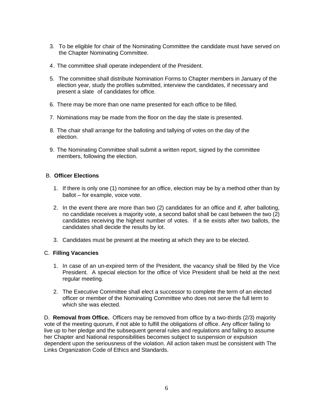- 3. To be eligible for chair of the Nominating Committee the candidate must have served on the Chapter Nominating Committee.
- 4. The committee shall operate independent of the President.
- 5. The committee shall distribute Nomination Forms to Chapter members in January of the election year, study the profiles submitted, interview the candidates, if necessary and present a slate of candidates for office.
- 6. There may be more than one name presented for each office to be filled.
- 7. Nominations may be made from the floor on the day the slate is presented.
- 8. The chair shall arrange for the balloting and tallying of votes on the day of the election.
- 9. The Nominating Committee shall submit a written report, signed by the committee members, following the election.

# B. **Officer Elections**

- 1. If there is only one (1) nominee for an office, election may be by a method other than by ballot – for example, voice vote.
- 2. In the event there are more than two (2) candidates for an office and if, after balloting, no candidate receives a majority vote, a second ballot shall be cast between the two (2) candidates receiving the highest number of votes. If a tie exists after two ballots, the candidates shall decide the results by lot.
- 3. Candidates must be present at the meeting at which they are to be elected.

# C. **Filling Vacancies**

- 1. In case of an un-expired term of the President, the vacancy shall be filled by the Vice President. A special election for the office of Vice President shall be held at the next regular meeting.
- 2. The Executive Committee shall elect a successor to complete the term of an elected officer or member of the Nominating Committee who does not serve the full term to which she was elected.

D. **Removal from Office.** Officers may be removed from office by a two-thirds (2/3) majority vote of the meeting quorum, if not able to fulfill the obligations of office. Any officer failing to live up to her pledge and the subsequent general rules and regulations and failing to assume her Chapter and National responsibilities becomes subject to suspension or expulsion dependent upon the seriousness of the violation. All action taken must be consistent with The Links Organization Code of Ethics and Standards.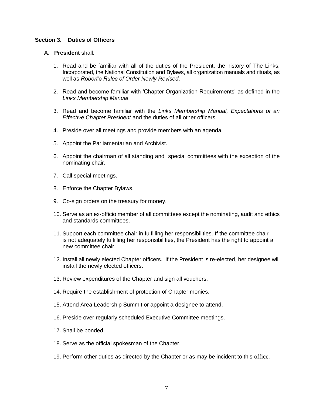# **Section 3. Duties of Officers**

- A. **President** shall:
	- 1. Read and be familiar with all of the duties of the President, the history of The Links, Incorporated, the National Constitution and Bylaws, all organization manuals and rituals, as well as *Robert's Rules of Order Newly Revised*.
	- 2. Read and become familiar with 'Chapter Organization Requirements' as defined in the *Links Membership Manual*.
	- 3. Read and become familiar with the *Links Membership Manual, Expectations of an Effective Chapter President* and the duties of all other officers.
	- 4. Preside over all meetings and provide members with an agenda.
	- 5. Appoint the Parliamentarian and Archivist.
	- 6. Appoint the chairman of all standing and special committees with the exception of the nominating chair.
	- 7. Call special meetings.
	- 8. Enforce the Chapter Bylaws.
	- 9. Co-sign orders on the treasury for money.
	- 10. Serve as an ex-officio member of all committees except the nominating, audit and ethics and standards committees.
	- 11. Support each committee chair in fulfilling her responsibilities. If the committee chair is not adequately fulfilling her responsibilities, the President has the right to appoint a new committee chair.
	- 12. Install all newly elected Chapter officers. If the President is re-elected, her designee will install the newly elected officers.
	- 13. Review expenditures of the Chapter and sign all vouchers.
	- 14. Require the establishment of protection of Chapter monies.
	- 15. Attend Area Leadership Summit or appoint a designee to attend.
	- 16. Preside over regularly scheduled Executive Committee meetings.
	- 17. Shall be bonded.
	- 18. Serve as the official spokesman of the Chapter.
	- 19. Perform other duties as directed by the Chapter or as may be incident to this office.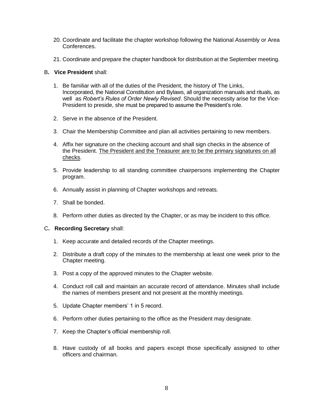- 20. Coordinate and facilitate the chapter workshop following the National Assembly or Area Conferences.
- 21. Coordinate and prepare the chapter handbook for distribution at the September meeting.

#### B**. Vice President** shall:

- 1. Be familiar with all of the duties of the President, the history of The Links, Incorporated, the National Constitution and Bylaws, all organization manuals and rituals, as well as *Robert's Rules of Order Newly Revised*. Should the necessity arise for the Vice-President to preside, she must be prepared to assume the President's role.
- 2. Serve in the absence of the President.
- 3. Chair the Membership Committee and plan all activities pertaining to new members.
- 4. Affix her signature on the checking account and shall sign checks in the absence of the President. The President and the Treasurer are to be the primary signatures on all checks.
- 5. Provide leadership to all standing committee chairpersons implementing the Chapter program.
- 6. Annually assist in planning of Chapter workshops and retreats.
- 7. Shall be bonded.
- 8. Perform other duties as directed by the Chapter, or as may be incident to this office.

#### C**. Recording Secretary** shall:

- 1. Keep accurate and detailed records of the Chapter meetings.
- 2. Distribute a draft copy of the minutes to the membership at least one week prior to the Chapter meeting.
- 3. Post a copy of the approved minutes to the Chapter website.
- 4. Conduct roll call and maintain an accurate record of attendance. Minutes shall include the names of members present and not present at the monthly meetings.
- 5. Update Chapter members' 1 in 5 record.
- 6. Perform other duties pertaining to the office as the President may designate.
- 7. Keep the Chapter's official membership roll.
- 8. Have custody of all books and papers except those specifically assigned to other officers and chairman.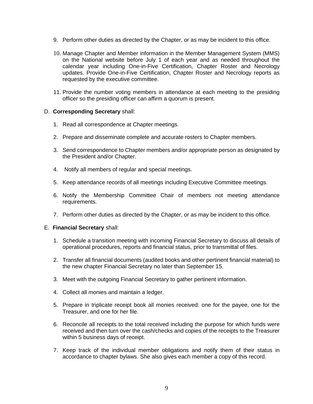- 9. Perform other duties as directed by the Chapter, or as may be incident to this office.
- 10. Manage Chapter and Member information in the Member Management System (MMS) on the National website before July 1 of each year and as needed throughout the calendar year including One-in-Five Certification, Chapter Roster and Necrology updates. Provide One-in-Five Certification, Chapter Roster and Necrology reports as requested by the executive committee.
- 11. Provide the number voting members in attendance at each meeting to the presiding officer so the presiding officer can affirm a quorum is present.

# D. **Corresponding Secretary** shall:

- 1. Read all correspondence at Chapter meetings.
- 2. Prepare and disseminate complete and accurate rosters to Chapter members.
- 3. Send correspondence to Chapter members and/or appropriate person as designated by the President and/or Chapter.
- 4. Notify all members of regular and special meetings.
- 5. Keep attendance records of all meetings including Executive Committee meetings.
- 6. Notify the Membership Committee Chair of members not meeting attendance requirements.
- 7. Perform other duties as directed by the Chapter, or as may be incident to this office.

#### E. **Financial Secretary** shall:

- 1. Schedule a transition meeting with incoming Financial Secretary to discuss all details of operational procedures, reports and financial status, prior to transmittal of files.
- 2. Transfer all financial documents (audited books and other pertinent financial material) to the new chapter Financial Secretary no later than September 15.
- 3. Meet with the outgoing Financial Secretary to gather pertinent information.
- 4. Collect all monies and maintain a ledger.
- 5. Prepare in triplicate receipt book all monies received: one for the payee, one for the Treasurer, and one for her file.
- 6. Reconcile all receipts to the total received including the purpose for which funds were received and then turn over the cash/checks and copies of the receipts to the Treasurer within 5 business days of receipt.
- 7. Keep track of the individual member obligations and notify them of their status in accordance to chapter bylaws. She also gives each member a copy of this record.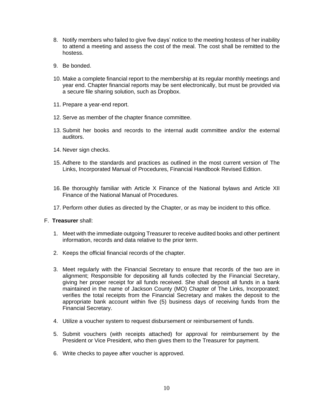- 8. Notify members who failed to give five days' notice to the meeting hostess of her inability to attend a meeting and assess the cost of the meal. The cost shall be remitted to the hostess.
- 9. Be bonded.
- 10. Make a complete financial report to the membership at its regular monthly meetings and year end. Chapter financial reports may be sent electronically, but must be provided via a secure file sharing solution, such as Dropbox.
- 11. Prepare a year-end report.
- 12. Serve as member of the chapter finance committee.
- 13. Submit her books and records to the internal audit committee and/or the external auditors.
- 14. Never sign checks.
- 15. Adhere to the standards and practices as outlined in the most current version of The Links, Incorporated Manual of Procedures, Financial Handbook Revised Edition.
- 16. Be thoroughly familiar with Article X Finance of the National bylaws and Article XII Finance of the National Manual of Procedures.
- 17. Perform other duties as directed by the Chapter, or as may be incident to this office.
- F. **Treasurer** shall:
	- 1. Meet with the immediate outgoing Treasurer to receive audited books and other pertinent information, records and data relative to the prior term.
	- 2. Keeps the official financial records of the chapter.
	- 3. Meet regularly with the Financial Secretary to ensure that records of the two are in alignment; Responsible for depositing all funds collected by the Financial Secretary, giving her proper receipt for all funds received. She shall deposit all funds in a bank maintained in the name of Jackson County (MO) Chapter of The Links, Incorporated; verifies the total receipts from the Financial Secretary and makes the deposit to the appropriate bank account within five (5) business days of receiving funds from the Financial Secretary.
	- 4. Utilize a voucher system to request disbursement or reimbursement of funds.
	- 5. Submit vouchers (with receipts attached) for approval for reimbursement by the President or Vice President, who then gives them to the Treasurer for payment.
	- 6. Write checks to payee after voucher is approved.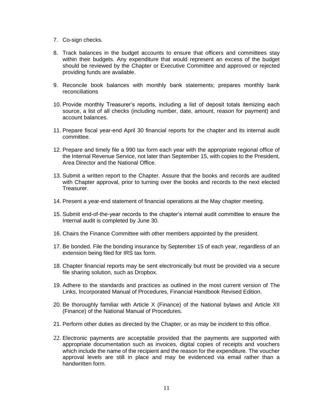- 7. Co-sign checks.
- 8. Track balances in the budget accounts to ensure that officers and committees stay within their budgets. Any expenditure that would represent an excess of the budget should be reviewed by the Chapter or Executive Committee and approved or rejected providing funds are available.
- 9. Reconcile book balances with monthly bank statements; prepares monthly bank reconciliations
- 10. Provide monthly Treasurer's reports, including a list of deposit totals itemizing each source, a list of all checks (including number, date, amount, reason for payment) and account balances.
- 11. Prepare fiscal year-end April 30 financial reports for the chapter and its internal audit committee.
- 12. Prepare and timely file a 990 tax form each year with the appropriate regional office of the Internal Revenue Service, not later than September 15, with copies to the President, Area Director and the National Office.
- 13. Submit a written report to the Chapter. Assure that the books and records are audited with Chapter approval, prior to turning over the books and records to the next elected Treasurer.
- 14. Present a year-end statement of financial operations at the May chapter meeting.
- 15. Submit end-of-the-year records to the chapter's internal audit committee to ensure the Internal audit is completed by June 30.
- 16. Chairs the Finance Committee with other members appointed by the president.
- 17. Be bonded. File the bonding insurance by September 15 of each year, regardless of an extension being filed for IRS tax form.
- 18. Chapter financial reports may be sent electronically but must be provided via a secure file sharing solution, such as Dropbox.
- 19. Adhere to the standards and practices as outlined in the most current version of The Links, Incorporated Manual of Procedures, Financial Handbook Revised Edition.
- 20. Be thoroughly familiar with Article X (Finance) of the National bylaws and Article XII (Finance) of the National Manual of Procedures.
- 21. Perform other duties as directed by the Chapter, or as may be incident to this office.
- 22. Electronic payments are acceptable provided that the payments are supported with appropriate documentation such as invoices, digital copies of receipts and vouchers which include the name of the recipient and the reason for the expenditure. The voucher approval levels are still in place and may be evidenced via email rather than a handwritten form.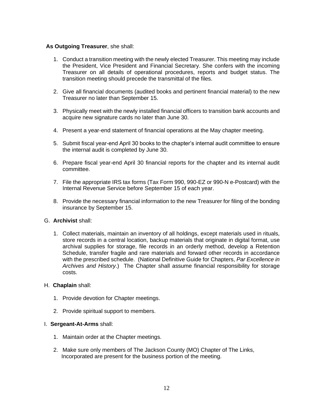# **As Outgoing Treasurer**, she shall:

- 1. Conduct a transition meeting with the newly elected Treasurer. This meeting may include the President, Vice President and Financial Secretary. She confers with the incoming Treasurer on all details of operational procedures, reports and budget status. The transition meeting should precede the transmittal of the files.
- 2. Give all financial documents (audited books and pertinent financial material) to the new Treasurer no later than September 15.
- 3. Physically meet with the newly installed financial officers to transition bank accounts and acquire new signature cards no later than June 30.
- 4. Present a year-end statement of financial operations at the May chapter meeting.
- 5. Submit fiscal year-end April 30 books to the chapter's internal audit committee to ensure the internal audit is completed by June 30.
- 6. Prepare fiscal year-end April 30 financial reports for the chapter and its internal audit committee.
- 7. File the appropriate IRS tax forms (Tax Form 990, 990-EZ or 990-N e-Postcard) with the Internal Revenue Service before September 15 of each year.
- 8. Provide the necessary financial information to the new Treasurer for filing of the bonding insurance by September 15.

#### G. **Archivist** shall:

1. Collect materials, maintain an inventory of all holdings, except materials used in rituals, store records in a central location, backup materials that originate in digital format, use archival supplies for storage, file records in an orderly method, develop a Retention Schedule, transfer fragile and rare materials and forward other records in accordance with the prescribed schedule. (National Definitive Guide for Chapters, *Par Excellence in Archives and History*.) The Chapter shall assume financial responsibility for storage costs.

#### H. **Chaplain** shall:

- 1. Provide devotion for Chapter meetings.
- 2. Provide spiritual support to members.

#### I. **Sergeant-At-Arms** shall:

- 1. Maintain order at the Chapter meetings.
- 2. Make sure only members of The Jackson County (MO) Chapter of The Links, Incorporated are present for the business portion of the meeting.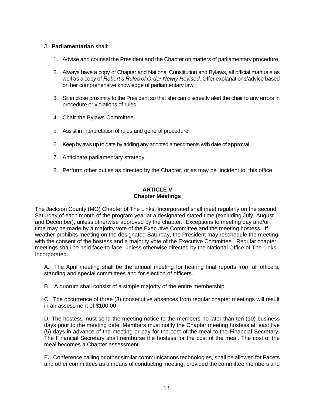# J. **Parliamentarian** shall:

- 1. Advise and counsel the President and the Chapter on matters of parliamentary procedure.
- 2. Always have a copy of Chapter and National Constitution and Bylaws, all official manuals as well as a copy of *Robert's Rules of Order Newly Revised*. Offer explanations/advice based on her comprehensive knowledge of parliamentary law.
- 3. Sit in close proximity to the President so that she can discreetly alert the chair to any errors in procedure or violations of rules.
- 4. Chair the Bylaws Committee.
- 5. Assist in interpretation of rules and general procedure.
- 6. Keep bylaws up to date by adding any adopted amendments with date of approval.
- 7. Anticipate parliamentary strategy.
- 8. Perform other duties as directed by the Chapter, or as may be incident to this office.

# **ARTICLE V Chapter Meetings**

The Jackson County (MO) Chapter of The Links, Incorporated shall meet regularly on the second Saturday of each month of the program year at a designated stated time (excluding July, August and December), unless otherwise approved by the chapter. Exceptions to meeting day and/or time may be made by a majority vote of the Executive Committee and the meeting hostess. If weather prohibits meeting on the designated Saturday, the President may reschedule the meeting with the consent of the hostess and a majority vote of the Executive Committee. Regular chapter meetings shall be held face-to-face, unless otherwise directed by the National Office of The Links, Incorporated.

A**.** The April meeting shall be the annual meeting for hearing final reports from all officers, standing and special committees and for election of officers.

B. A quorum shall consist of a simple majority of the entire membership.

C. The occurrence of three (3) consecutive absences from regular chapter meetings will result in an assessment of \$100.00

D**.** The hostess must send the meeting notice to the members no later than ten (10) business days prior to the meeting date. Members must notify the Chapter meeting hostess at least five (5) days in advance of the meeting or pay for the cost of the meal to the Financial Secretary. The Financial Secretary shall reimburse the hostess for the cost of the meal. The cost of the meal becomes a Chapter assessment.

E**.** Conference calling or other similar communications technologies, shall be allowed for Facets and other committees as a means of conducting meeting, provided the committee members and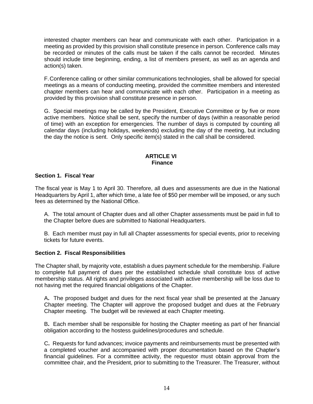interested chapter members can hear and communicate with each other. Participation in a meeting as provided by this provision shall constitute presence in person. Conference calls may be recorded or minutes of the calls must be taken if the calls cannot be recorded. Minutes should include time beginning, ending, a list of members present, as well as an agenda and action(s) taken.

F.Conference calling or other similar communications technologies, shall be allowed for special meetings as a means of conducting meeting, provided the committee members and interested chapter members can hear and communicate with each other. Participation in a meeting as provided by this provision shall constitute presence in person.

G. Special meetings may be called by the President, Executive Committee or by five or more active members. Notice shall be sent, specify the number of days (within a reasonable period of time) with an exception for emergencies. The number of days is computed by counting all calendar days (including holidays, weekends) excluding the day of the meeting, but including the day the notice is sent. Only specific item(s) stated in the call shall be considered.

# **ARTICLE VI Finance**

# **Section 1. Fiscal Year**

The fiscal year is May 1 to April 30. Therefore, all dues and assessments are due in the National Headquarters by April 1, after which time, a late fee of \$50 per member will be imposed, or any such fees as determined by the National Office.

A. The total amount of Chapter dues and all other Chapter assessments must be paid in full to the Chapter before dues are submitted to National Headquarters.

B.Each member must pay in full all Chapter assessments for special events, prior to receiving tickets for future events.

#### **Section 2. Fiscal Responsibilities**

The Chapter shall, by majority vote, establish a dues payment schedule for the membership. Failure to complete full payment of dues per the established schedule shall constitute loss of active membership status. All rights and privileges associated with active membership will be loss due to not having met the required financial obligations of the Chapter.

A**.** The proposed budget and dues for the next fiscal year shall be presented at the January Chapter meeting. The Chapter will approve the proposed budget and dues at the February Chapter meeting. The budget will be reviewed at each Chapter meeting.

B**.** Each member shall be responsible for hosting the Chapter meeting as part of her financial obligation according to the hostess guidelines/procedures and schedule.

C**.** Requests for fund advances; invoice payments and reimbursements must be presented with a completed voucher and accompanied with proper documentation based on the Chapter's financial guidelines. For a committee activity, the requestor must obtain approval from the committee chair, and the President, prior to submitting to the Treasurer. The Treasurer, without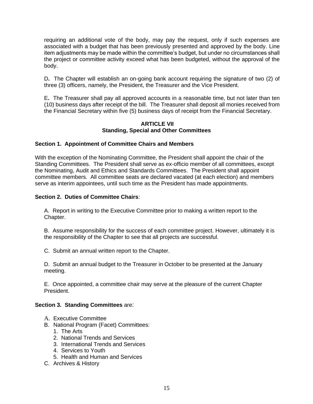requiring an additional vote of the body, may pay the request, only if such expenses are associated with a budget that has been previously presented and approved by the body. Line item adjustments may be made within the committee's budget, but under no circumstances shall the project or committee activity exceed what has been budgeted, without the approval of the body.

D**.** The Chapter will establish an on-going bank account requiring the signature of two (2) of three (3) officers, namely, the President, the Treasurer and the Vice President.

E**.** The Treasurer shall pay all approved accounts in a reasonable time, but not later than ten (10) business days after receipt of the bill. The Treasurer shall deposit all monies received from the Financial Secretary within five (5) business days of receipt from the Financial Secretary.

# **ARTICLE VII Standing, Special and Other Committees**

# **Section 1. Appointment of Committee Chairs and Members**

With the exception of the Nominating Committee, the President shall appoint the chair of the Standing Committees. The President shall serve as ex-officio member of all committees, except the Nominating, Audit and Ethics and Standards Committees. The President shall appoint committee members*.* All committee seats are declared vacated (at each election) and members serve as interim appointees, until such time as the President has made appointments.

#### **Section 2. Duties of Committee Chairs**:

A. Report in writing to the Executive Committee prior to making a written report to the Chapter.

B. Assume responsibility for the success of each committee project. However, ultimately it is the responsibility of the Chapter to see that all projects are successful.

C. Submit an annual written report to the Chapter.

D. Submit an annual budget to the Treasurer in October to be presented at the January meeting.

E. Once appointed, a committee chair may serve at the pleasure of the current Chapter President.

#### **Section 3. Standing Committees** are:

- A. Executive Committee
- B. National Program (Facet) Committees:
	- 1. The Arts
	- 2. National Trends and Services
	- 3. International Trends and Services
	- 4. Services to Youth
	- 5. Health and Human and Services
- C. Archives & History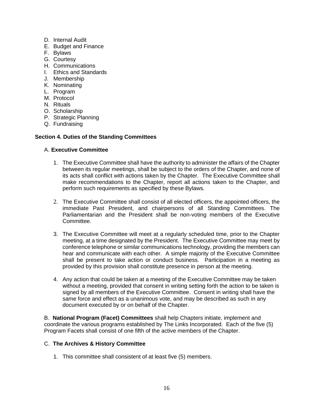- D. Internal Audit
- E. Budget and Finance
- F. Bylaws
- G. Courtesy
- H. Communications
- I. Ethics and Standards
- J. Membership
- K. Nominating
- L. Program
- M. Protocol
- N. Rituals
- O. Scholarship
- P. Strategic Planning
- Q. Fundraising

# **Section 4. Duties of the Standing Committees**

# A. **Executive Committee**

- 1. The Executive Committee shall have the authority to administer the affairs of the Chapter between its regular meetings, shall be subject to the orders of the Chapter, and none of its acts shall conflict with actions taken by the Chapter. The Executive Committee shall make recommendations to the Chapter, report all actions taken to the Chapter, and perform such requirements as specified by these Bylaws.
- 2. The Executive Committee shall consist of all elected officers, the appointed officers, the immediate Past President, and chairpersons of all Standing Committees. The Parliamentarian and the President shall be non-voting members of the Executive Committee.
- 3. The Executive Committee will meet at a regularly scheduled time, prior to the Chapter meeting, at a time designated by the President. The Executive Committee may meet by conference telephone or similar communications technology, providing the members can hear and communicate with each other. A simple majority of the Executive Committee shall be present to take action or conduct business. Participation in a meeting as provided by this provision shall constitute presence in person at the meeting.
- 4. Any action that could be taken at a meeting of the Executive Committee may be taken without a meeting, provided that consent in writing setting forth the action to be taken is signed by all members of the Executive Committee. Consent in writing shall have the same force and effect as a unanimous vote, and may be described as such in any document executed by or on behalf of the Chapter.

B. **National Program (Facet) Committees** shall help Chapters initiate, implement and coordinate the various programs established by The Links Incorporated. Each of the five (5) Program Facets shall consist of one fifth of the active members of the Chapter.

# C. **The Archives & History Committee**

1. This committee shall consistent of at least five (5) members.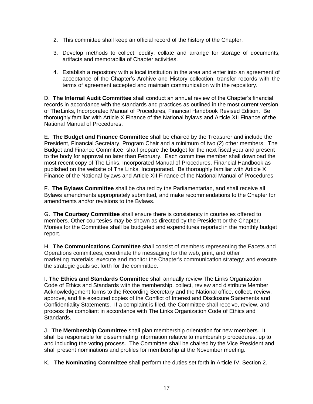- 2. This committee shall keep an official record of the history of the Chapter.
- 3. Develop methods to collect, codify, collate and arrange for storage of documents, artifacts and memorabilia of Chapter activities.
- 4. Establish a repository with a local institution in the area and enter into an agreement of acceptance of the Chapter's Archive and History collection; transfer records with the terms of agreement accepted and maintain communication with the repository.

D. **The Internal Audit Committee** shall conduct an annual review of the Chapter's financial records in accordance with the standards and practices as outlined in the most current version of TheLinks, Incorporated Manual of Procedures, Financial Handbook Revised Edition. Be thoroughly familiar with Article X Finance of the National bylaws and Article XII Finance of the National Manual of Procedures.

E. **The Budget and Finance Committee** shall be chaired by the Treasurer and include the President, Financial Secretary, Program Chair and a minimum of two (2) other members. The Budget and Finance Committee shall prepare the budget for the next fiscal year and present to the body for approval no later than February. Each committee member shall download the most recent copy of The Links, Incorporated Manual of Procedures, Financial Handbook as published on the website of The Links, Incorporated. Be thoroughly familiar with Article X Finance of the National bylaws and Article XII Finance of the National Manual of Procedures

F. **The Bylaws Committee** shall be chaired by the Parliamentarian, and shall receive all Bylaws amendments appropriately submitted, and make recommendations to the Chapter for amendments and/or revisions to the Bylaws.

G. **The Courtesy Committee** shall ensure there is consistency in courtesies offered to members. Other courtesies may be shown as directed by the President or the Chapter. Monies for the Committee shall be budgeted and expenditures reported in the monthly budget report.

H. **The Communications Committee** shall consist of members representing the Facets and Operations committees; coordinate the messaging for the web, print, and other marketing materials; execute and monitor the Chapter's communication strategy; and execute the strategic goals set forth for the committee.

I. **The Ethics and Standards Committee** shall annually review The Links Organization Code of Ethics and Standards with the membership, collect, review and distribute Member Acknowledgement forms to the Recording Secretary and the National office, collect, review, approve, and file executed copies of the Conflict of Interest and Disclosure Statements and Confidentiality Statements. If a complaint is filed, the Committee shall receive, review, and process the compliant in accordance with The Links Organization Code of Ethics and Standards.

J. **The Membership Committee** shall plan membership orientation for new members. It shall be responsible for disseminating information relative to membership procedures, up to and including the voting process. The Committee shall be chaired by the Vice President and shall present nominations and profiles for membership at the November meeting.

K. **The Nominating Committee** shall perform the duties set forth in Article IV, Section 2.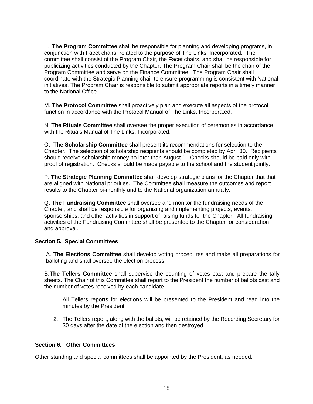L. **The Program Committee** shall be responsible for planning and developing programs, in conjunction with Facet chairs, related to the purpose of The Links, Incorporated. The committee shall consist of the Program Chair, the Facet chairs, and shall be responsible for publicizing activities conducted by the Chapter. The Program Chair shall be the chair of the Program Committee and serve on the Finance Committee. The Program Chair shall coordinate with the Strategic Planning chair to ensure programming is consistent with National initiatives. The Program Chair is responsible to submit appropriate reports in a timely manner to the National Office.

M. **The Protocol Committee** shall proactively plan and execute all aspects of the protocol function in accordance with the Protocol Manual of The Links, Incorporated.

N. **The Rituals Committee** shall oversee the proper execution of ceremonies in accordance with the Rituals Manual of The Links, Incorporated.

O. **The Scholarship Committee** shall present its recommendations for selection to the Chapter. The selection of scholarship recipients should be completed by April 30. Recipients should receive scholarship money no later than August 1. Checks should be paid only with proof of registration. Checks should be made payable to the school and the student jointly.

P. **The Strategic Planning Committee** shall develop strategic plans for the Chapter that that are aligned with National priorities. The Committee shall measure the outcomes and report results to the Chapter bi-monthly and to the National organization annually.

Q. **The Fundraising Committee** shall oversee and monitor the fundraising needs of the Chapter, and shall be responsible for organizing and implementing projects, events, sponsorships, and other activities in support of raising funds for the Chapter. All fundraising activities of the Fundraising Committee shall be presented to the Chapter for consideration and approval.

# **Section 5. Special Committees**

A. **The Elections Committee** shall develop voting procedures and make all preparations for balloting and shall oversee the election process.

B.**The Tellers Committee** shall supervise the counting of votes cast and prepare the tally sheets. The Chair of this Committee shall report to the President the number of ballots cast and the number of votes received by each candidate.

- 1. All Tellers reports for elections will be presented to the President and read into the minutes by the President.
- 2. The Tellers report, along with the ballots, will be retained by the Recording Secretary for 30 days after the date of the election and then destroyed

# **Section 6. Other Committees**

Other standing and special committees shall be appointed by the President, as needed.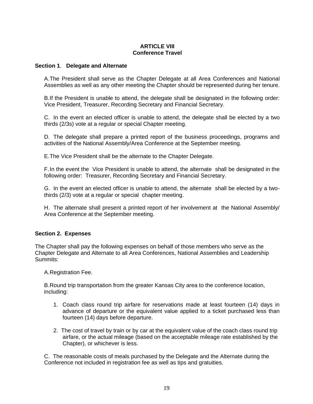# **ARTICLE VIII Conference Travel**

#### **Section 1**. **Delegate and Alternate**

A.The President shall serve as the Chapter Delegate at all Area Conferences and National Assemblies as well as any other meeting the Chapter should be represented during her tenure.

B.If the President is unable to attend, the delegate shall be designated in the following order: Vice President, Treasurer, Recording Secretary and Financial Secretary.

C. In the event an elected officer is unable to attend, the delegate shall be elected by a two thirds (2/3s) vote at a regular or special Chapter meeting.

D. The delegate shall prepare a printed report of the business proceedings, programs and activities of the National Assembly/Area Conference at the September meeting.

E.The Vice President shall be the alternate to the Chapter Delegate.

F.In the event the Vice President is unable to attend, the alternate shall be designated in the following order: Treasurer, Recording Secretary and Financial Secretary.

G. In the event an elected officer is unable to attend, the alternate shall be elected by a twothirds (2/3) vote at a regular or special chapter meeting.

H. The alternate shall present a printed report of her involvement at the National Assembly/ Area Conference at the September meeting.

#### **Section 2. Expenses**

The Chapter shall pay the following expenses on behalf of those members who serve as the Chapter Delegate and Alternate to all Area Conferences, National Assemblies and Leadership Summits:

A.Registration Fee.

B.Round trip transportation from the greater Kansas City area to the conference location, including:

- 1. Coach class round trip airfare for reservations made at least fourteen (14) days in advance of departure or the equivalent value applied to a ticket purchased less than fourteen (14) days before departure.
- 2. The cost of travel by train or by car at the equivalent value of the coach class round trip airfare, or the actual mileage (based on the acceptable mileage rate established by the Chapter), or whichever is less.

C. The reasonable costs of meals purchased by the Delegate and the Alternate during the Conference not included in registration fee as well as tips and gratuities.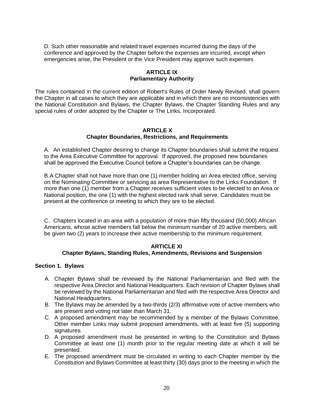D. Such other reasonable and related travel expenses incurred during the days of the conference and approved by the Chapter before the expenses are incurred, except when emergencies arise, the President or the Vice President may approve such expenses

# **ARTICLE IX Parliamentary Authority**

The rules contained in the current edition of Robert's Rules of Order Newly Revised, shall govern the Chapter in all cases to which they are applicable and in which there are no inconsistencies with the National Constitution and Bylaws, the Chapter Bylaws, the Chapter Standing Rules and any special rules of order adopted by the Chapter or The Links, Incorporated.

# **ARTICLE X Chapter Boundaries, Restrictions, and Requirements**

A. An established Chapter desiring to change its Chapter boundaries shall submit the request to the Area Executive Committee for approval. If approved, the proposed new boundaries shall be approved the Executive Council before a Chapter's boundaries can be change.

B.A Chapter shall not have more than one (1) member holding an Area elected office, serving on the Nominating Committee or servicing as area Representative to the Links Foundation. If more than one (1) member from a Chapter receives sufficient votes to be elected to an Area or National position, the one (1) with the highest elected rank shall serve. Candidates must be present at the conference or meeting to which they are to be elected.

C. Chapters located in an area with a population of more than fifty thousand (50,000) African Americans, whose active members fall below the minimum number of 20 active members, will be given two (2) years to increase their active membership to the minimum requirement.

#### **ARTICLE XI Chapter Bylaws, Standing Rules, Amendments, Revisions and Suspension**

#### **Section 1. Bylaws**

- A. Chapter Bylaws shall be reviewed by the National Parliamentarian and filed with the respective Area Director and National Headquarters. Each revision of Chapter Bylaws shall be reviewed by the National Parliamentarian and filed with the respective Area Director and National Headquarters.
- B. The Bylaws may be amended by a two-thirds (2/3) affirmative vote of active members who are present and voting not later than March 31.
- C. A proposed amendment may be recommended by a member of the Bylaws Committee. Other member Links may submit proposed amendments, with at least five (5) supporting signatures.
- D. A proposed amendment must be presented in writing to the Constitution and Bylaws Committee at least one (1) month prior to the regular meeting date at which it will be presented.
- E. The proposed amendment must be circulated in writing to each Chapter member by the Constitution and Bylaws Committee at least thirty (30) days prior to the meeting in which the